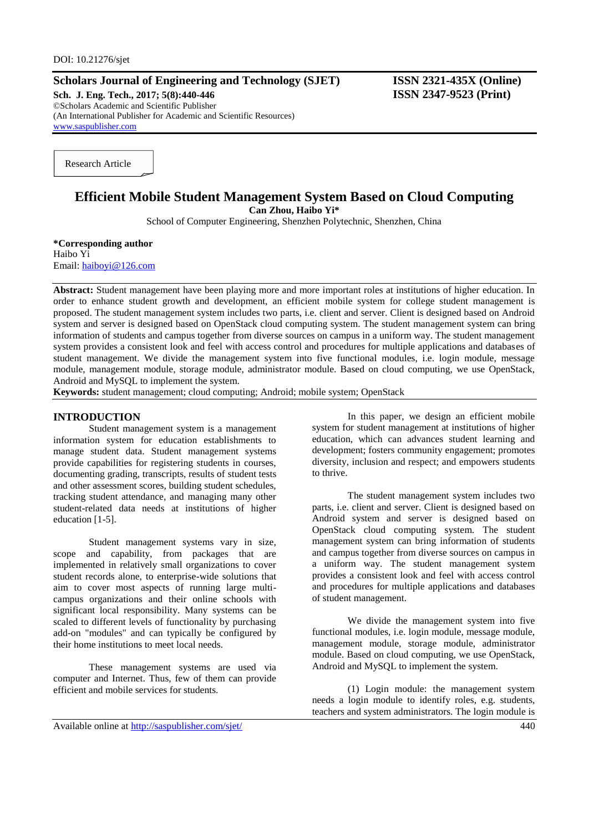### **Scholars Journal of Engineering and Technology (SJET) ISSN 2321-435X (Online)**

**Sch. J. Eng. Tech., 2017; 5(8):440-446 ISSN 2347-9523 (Print)** ©Scholars Academic and Scientific Publisher (An International Publisher for Academic and Scientific Resources) [www.saspublisher.com](http://www.saspublisher.com/)

Research Article

# **Efficient Mobile Student Management System Based on Cloud Computing Can Zhou, Haibo Yi\***

School of Computer Engineering, Shenzhen Polytechnic, Shenzhen, China

**\*Corresponding author** Haibo Yi Email: [haiboyi@126.com](mailto:haiboyi@126.com)

**Abstract:** Student management have been playing more and more important roles at institutions of higher education. In order to enhance student growth and development, an efficient mobile system for college student management is proposed. The student management system includes two parts, i.e. client and server. Client is designed based on Android system and server is designed based on OpenStack cloud computing system. The student management system can bring information of students and campus together from diverse sources on campus in a uniform way. The student management system provides a consistent look and feel with access control and procedures for multiple applications and databases of student management. We divide the management system into five functional modules, i.e. login module, message module, management module, storage module, administrator module. Based on cloud computing, we use OpenStack, Android and MySQL to implement the system.

**Keywords:** student management; cloud computing; Android; mobile system; OpenStack

### **INTRODUCTION**

Student management system is a management information system for education establishments to manage student data. Student management systems provide capabilities for registering students in courses, documenting grading, transcripts, results of student tests and other assessment scores, building student schedules, tracking student attendance, and managing many other student-related data needs at institutions of higher education [1-5].

Student management systems vary in size, scope and capability, from packages that are implemented in relatively small organizations to cover student records alone, to enterprise-wide solutions that aim to cover most aspects of running large multicampus organizations and their online schools with significant local responsibility. Many systems can be scaled to different levels of functionality by purchasing add-on "modules" and can typically be configured by their home institutions to meet local needs.

These management systems are used via computer and Internet. Thus, few of them can provide efficient and mobile services for students.

In this paper, we design an efficient mobile system for student management at institutions of higher education, which can advances student learning and development; fosters community engagement; promotes diversity, inclusion and respect; and empowers students to thrive.

The student management system includes two parts, i.e. client and server. Client is designed based on Android system and server is designed based on OpenStack cloud computing system. The student management system can bring information of students and campus together from diverse sources on campus in a uniform way. The student management system provides a consistent look and feel with access control and procedures for multiple applications and databases of student management.

We divide the management system into five functional modules, i.e. login module, message module, management module, storage module, administrator module. Based on cloud computing, we use OpenStack, Android and MySQL to implement the system.

(1) Login module: the management system needs a login module to identify roles, e.g. students, teachers and system administrators. The login module is

Available online at<http://saspublisher.com/sjet/> 440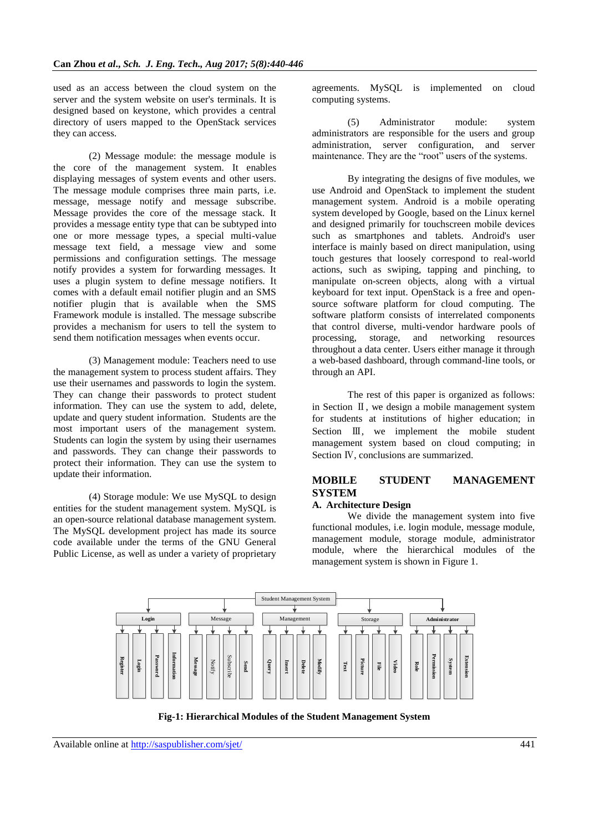used as an access between the cloud system on the server and the system website on user's terminals. It is designed based on keystone, which provides a central directory of users mapped to the OpenStack services they can access.

(2) Message module: the message module is the core of the management system. It enables displaying messages of system events and other users. The message module comprises three main parts, i.e. message, message notify and message subscribe. Message provides the core of the message stack. It provides a message entity type that can be subtyped into one or more message types, a special multi-value message text field, a message view and some permissions and configuration settings. The message notify provides a system for forwarding messages. It uses a plugin system to define message notifiers. It comes with a default email notifier plugin and an SMS notifier plugin that is available when the SMS Framework module is installed. The message subscribe provides a mechanism for users to tell the system to send them notification messages when events occur.

(3) Management module: Teachers need to use the management system to process student affairs. They use their usernames and passwords to login the system. They can change their passwords to protect student information. They can use the system to add, delete, update and query student information. Students are the most important users of the management system. Students can login the system by using their usernames and passwords. They can change their passwords to protect their information. They can use the system to update their information.

(4) Storage module: We use MySQL to design entities for the student management system. MySQL is an open-source relational database management system. The MySQL development project has made its source code available under the terms of the GNU General Public License, as well as under a variety of proprietary agreements. MySQL is implemented on cloud computing systems.

(5) Administrator module: system administrators are responsible for the users and group administration, server configuration, and server maintenance. They are the "root" users of the systems.

By integrating the designs of five modules, we use Android and OpenStack to implement the student management system. Android is a mobile operating system developed by Google, based on the Linux kernel and designed primarily for touchscreen mobile devices such as smartphones and tablets. Android's user interface is mainly based on direct manipulation, using touch gestures that loosely correspond to real-world actions, such as swiping, tapping and pinching, to manipulate on-screen objects, along with a virtual keyboard for text input. OpenStack is a free and opensource software platform for cloud computing. The software platform consists of interrelated components that control diverse, multi-vendor hardware pools of processing, storage, and networking resources throughout a data center. Users either manage it through a web-based dashboard, through command-line tools, or through an API.

The rest of this paper is organized as follows: in Section Ⅱ, we design a mobile management system for students at institutions of higher education; in Section III, we implement the mobile student management system based on cloud computing; in Section Ⅳ, conclusions are summarized.

# **MOBILE STUDENT MANAGEMENT SYSTEM**

## **A. Architecture Design**

We divide the management system into five functional modules, i.e. login module, message module, management module, storage module, administrator module, where the hierarchical modules of the management system is shown in Figure 1.



**Fig-1: Hierarchical Modules of the Student Management System**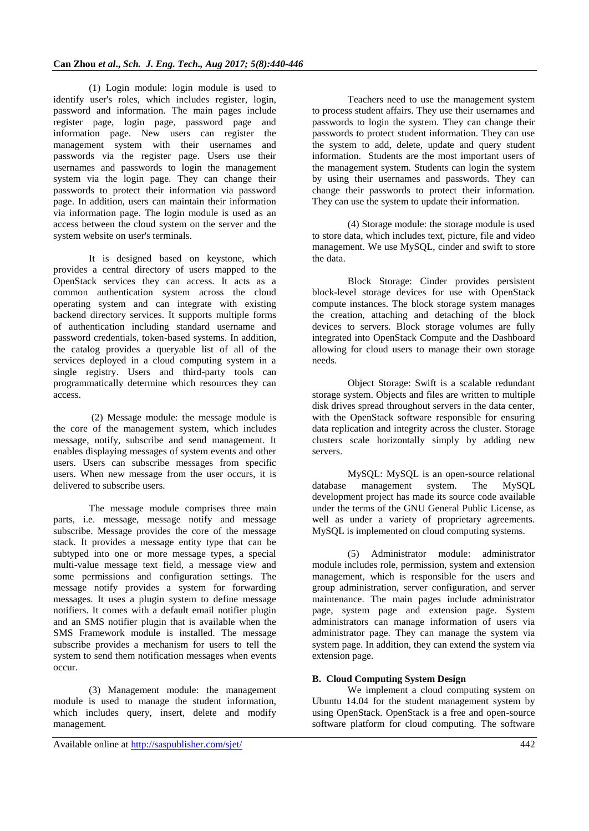(1) Login module: login module is used to identify user's roles, which includes register, login, password and information. The main pages include register page, login page, password page and information page. New users can register the management system with their usernames and passwords via the register page. Users use their usernames and passwords to login the management system via the login page. They can change their passwords to protect their information via password page. In addition, users can maintain their information via information page. The login module is used as an access between the cloud system on the server and the system website on user's terminals.

It is designed based on keystone, which provides a central directory of users mapped to the OpenStack services they can access. It acts as a common authentication system across the cloud operating system and can integrate with existing backend directory services. It supports multiple forms of authentication including standard username and password credentials, token-based systems. In addition, the catalog provides a queryable list of all of the services deployed in a cloud computing system in a single registry. Users and third-party tools can programmatically determine which resources they can access.

(2) Message module: the message module is the core of the management system, which includes message, notify, subscribe and send management. It enables displaying messages of system events and other users. Users can subscribe messages from specific users. When new message from the user occurs, it is delivered to subscribe users.

The message module comprises three main parts, i.e. message, message notify and message subscribe. Message provides the core of the message stack. It provides a message entity type that can be subtyped into one or more message types, a special multi-value message text field, a message view and some permissions and configuration settings. The message notify provides a system for forwarding messages. It uses a plugin system to define message notifiers. It comes with a default email notifier plugin and an SMS notifier plugin that is available when the SMS Framework module is installed. The message subscribe provides a mechanism for users to tell the system to send them notification messages when events occur.

(3) Management module: the management module is used to manage the student information, which includes query, insert, delete and modify management.

Teachers need to use the management system to process student affairs. They use their usernames and passwords to login the system. They can change their passwords to protect student information. They can use the system to add, delete, update and query student information. Students are the most important users of the management system. Students can login the system by using their usernames and passwords. They can change their passwords to protect their information. They can use the system to update their information.

(4) Storage module: the storage module is used to store data, which includes text, picture, file and video management. We use MySQL, cinder and swift to store the data.

Block Storage: Cinder provides persistent block-level storage devices for use with OpenStack compute instances. The block storage system manages the creation, attaching and detaching of the block devices to servers. Block storage volumes are fully integrated into OpenStack Compute and the Dashboard allowing for cloud users to manage their own storage needs.

Object Storage: Swift is a scalable redundant storage system. Objects and files are written to multiple disk drives spread throughout servers in the data center, with the OpenStack software responsible for ensuring data replication and integrity across the cluster. Storage clusters scale horizontally simply by adding new servers.

MySQL: MySQL is an open-source relational database management system. The MySQL development project has made its source code available under the terms of the GNU General Public License, as well as under a variety of proprietary agreements. MySQL is implemented on cloud computing systems.

(5) Administrator module: administrator module includes role, permission, system and extension management, which is responsible for the users and group administration, server configuration, and server maintenance. The main pages include administrator page, system page and extension page. System administrators can manage information of users via administrator page. They can manage the system via system page. In addition, they can extend the system via extension page.

### **B. Cloud Computing System Design**

We implement a cloud computing system on Ubuntu 14.04 for the student management system by using OpenStack. OpenStack is a free and open-source software platform for cloud computing. The software

Available online at<http://saspublisher.com/sjet/> 442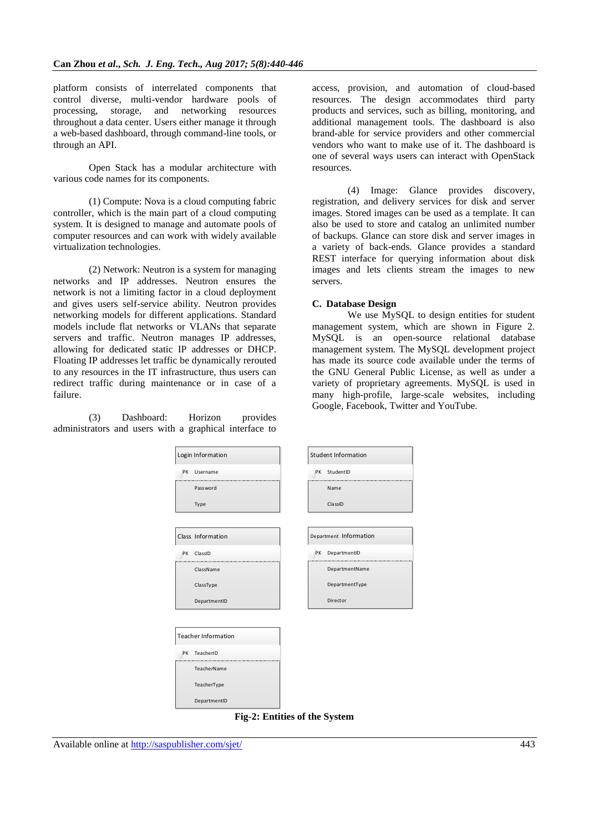platform consists of interrelated components that control diverse, multi-vendor hardware pools of processing, storage, and networking resources throughout a data center. Users either manage it through a web-based dashboard, through command-line tools, or through an API.

Open Stack has a modular architecture with various code names for its components.

(1) Compute: Nova is a cloud computing fabric controller, which is the main part of a cloud computing system. It is designed to manage and automate pools of computer resources and can work with widely available virtualization technologies.

(2) Network: Neutron is a system for managing networks and IP addresses. Neutron ensures the network is not a limiting factor in a cloud deployment and gives users self-service ability. Neutron provides networking models for different applications. Standard models include flat networks or VLANs that separate servers and traffic. Neutron manages IP addresses, allowing for dedicated static IP addresses or DHCP. Floating IP addresses let traffic be dynamically rerouted to any resources in the IT infrastructure, thus users can redirect traffic during maintenance or in case of a failure.

(3) Dashboard: Horizon provides administrators and users with a graphical interface to access, provision, and automation of cloud-based resources. The design accommodates third party products and services, such as billing, monitoring, and additional management tools. The dashboard is also brand-able for service providers and other commercial vendors who want to make use of it. The dashboard is one of several ways users can interact with OpenStack resources.

(4) Image: Glance provides discovery, registration, and delivery services for disk and server images. Stored images can be used as a template. It can also be used to store and catalog an unlimited number of backups. Glance can store disk and server images in a variety of back-ends. Glance provides a standard REST interface for querying information about disk images and lets clients stream the images to new servers.

#### **C. Database Design**

We use MySQL to design entities for student management system, which are shown in Figure 2. MySQL is an open-source relational database management system. The MySQL development project has made its source code available under the terms of the GNU General Public License, as well as under a variety of proprietary agreements. MySQL is used in many high-profile, large-scale websites, including Google, Facebook, Twitter and YouTube.

| Login Information          | <b>Student Information</b> |
|----------------------------|----------------------------|
| PK<br>Username             | PK StudentID               |
| Password                   | Name                       |
| Type                       | ClassID                    |
|                            |                            |
| Class Information          | Department Information     |
| PK ClassID                 | PK DepartmentID            |
| ClassName                  | DepartmentName             |
| ClassType                  | DepartmentType             |
| DepartmentID               | Director                   |
|                            |                            |
| <b>Teacher Information</b> |                            |
| PK TeacherID               |                            |
| TeacherName                |                            |
| TeacherType                |                            |
| DepartmentID               |                            |

**Fig-2: Entities of the System**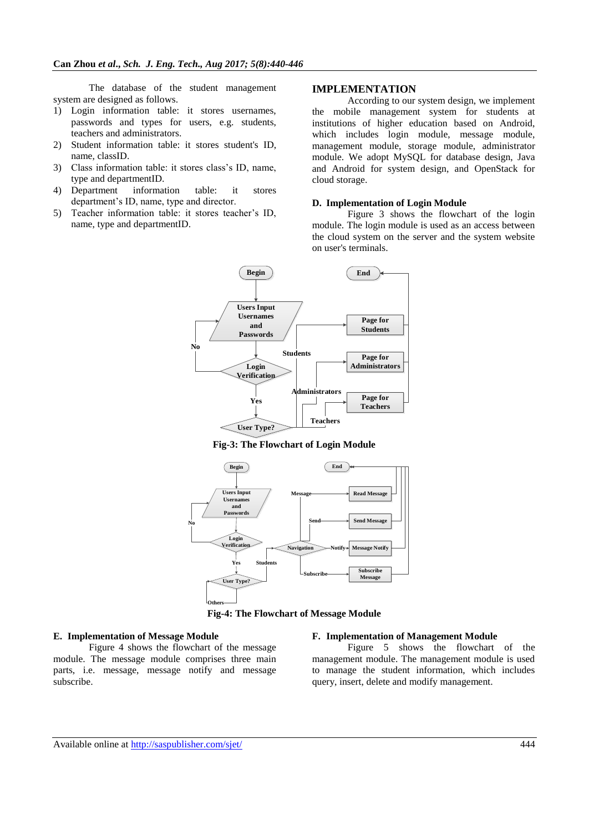The database of the student management system are designed as follows.

- 1) Login information table: it stores usernames, passwords and types for users, e.g. students, teachers and administrators.
- 2) Student information table: it stores student's ID, name, classID.
- 3) Class information table: it stores class's ID, name, type and departmentID.<br>Department information
- 4) Department information table: it stores department's ID, name, type and director.
- 5) Teacher information table: it stores teacher's ID, name, type and departmentID.

## **IMPLEMENTATION**

According to our system design, we implement the mobile management system for students at institutions of higher education based on Android, which includes login module, message module, management module, storage module, administrator module. We adopt MySQL for database design, Java and Android for system design, and OpenStack for cloud storage.

### **D. Implementation of Login Module**

Figure 3 shows the flowchart of the login module. The login module is used as an access between the cloud system on the server and the system website on user's terminals.



**Fig-3: The Flowchart of Login Module**



**Fig-4: The Flowchart of Message Module**

#### **E. Implementation of Message Module**

Figure 4 shows the flowchart of the message module. The message module comprises three main parts, i.e. message, message notify and message subscribe.

#### **F. Implementation of Management Module**

Figure 5 shows the flowchart of the management module. The management module is used to manage the student information, which includes query, insert, delete and modify management.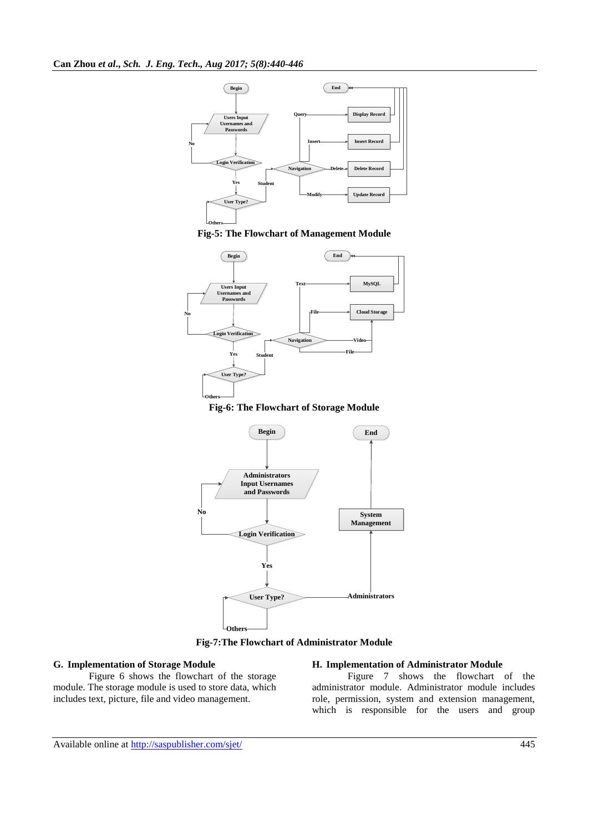









**Fig-7:The Flowchart of Administrator Module**

### **G. Implementation of Storage Module**

Figure 6 shows the flowchart of the storage module. The storage module is used to store data, which includes text, picture, file and video management.

#### **H. Implementation of Administrator Module**

Figure 7 shows the flowchart of the administrator module. Administrator module includes role, permission, system and extension management, which is responsible for the users and group